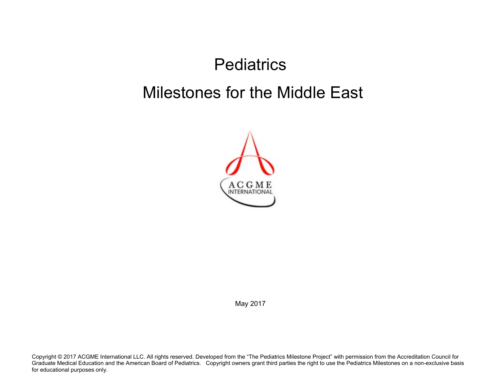## **Pediatrics** Milestones for the Middle East



May 2017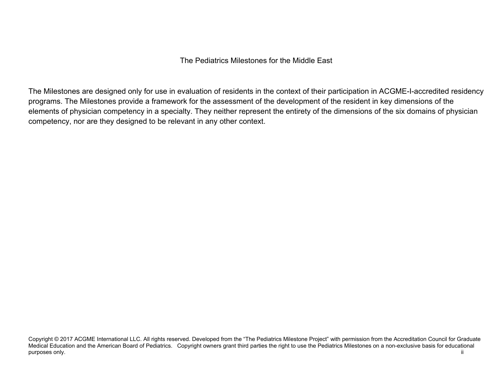The Pediatrics Milestones for the Middle East

The Milestones are designed only for use in evaluation of residents in the context of their participation in ACGME-I-accredited residency programs. The Milestones provide a framework for the assessment of the development of the resident in key dimensions of the elements of physician competency in a specialty. They neither represent the entirety of the dimensions of the six domains of physician competency, nor are they designed to be relevant in any other context.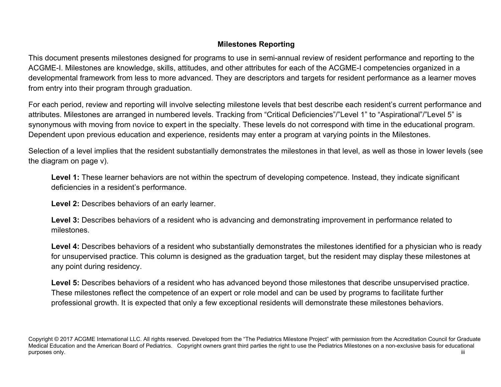## **Milestones Reporting**

This document presents milestones designed for programs to use in semi-annual review of resident performance and reporting to the ACGME-I. Milestones are knowledge, skills, attitudes, and other attributes for each of the ACGME-I competencies organized in a developmental framework from less to more advanced. They are descriptors and targets for resident performance as a learner moves from entry into their program through graduation.

For each period, review and reporting will involve selecting milestone levels that best describe each resident's current performance and attributes. Milestones are arranged in numbered levels. Tracking from "Critical Deficiencies"/"Level 1" to "Aspirational"/"Level 5" is synonymous with moving from novice to expert in the specialty. These levels do not correspond with time in the educational program. Dependent upon previous education and experience, residents may enter a program at varying points in the Milestones.

Selection of a level implies that the resident substantially demonstrates the milestones in that level, as well as those in lower levels (see the diagram on page v).

Level 1: These learner behaviors are not within the spectrum of developing competence. Instead, they indicate significant deficiencies in a resident's performance.

 **Level 2:** Describes behaviors of an early learner.

**Level 3:** Describes behaviors of a resident who is advancing and demonstrating improvement in performance related to milestones.

Level 4: Describes behaviors of a resident who substantially demonstrates the milestones identified for a physician who is ready for unsupervised practice. This column is designed as the graduation target, but the resident may display these milestones at any point during residency.

Level 5: Describes behaviors of a resident who has advanced beyond those milestones that describe unsupervised practice. These milestones reflect the competence of an expert or role model and can be used by programs to facilitate further professional growth. It is expected that only a few exceptional residents will demonstrate these milestones behaviors.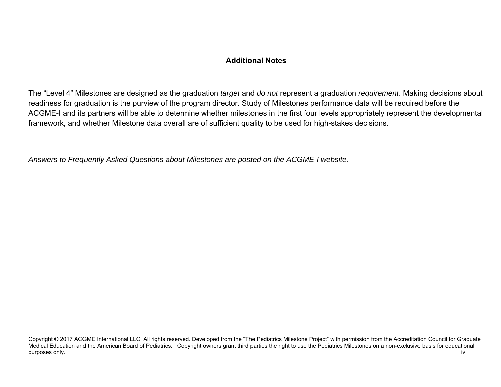## **Additional Notes**

The "Level 4" Milestones are designed as the graduation *target* and *do not* represent a graduation *requirement*. Making decisions about readiness for graduation is the purview of the program director. Study of Milestones performance data will be required before the ACGME-I and its partners will be able to determine whether milestones in the first four levels appropriately represent the developmental framework, and whether Milestone data overall are of sufficient quality to be used for high-stakes decisions.

*Answers to Frequently Asked Questions about Milestones are posted on the ACGME-I website.*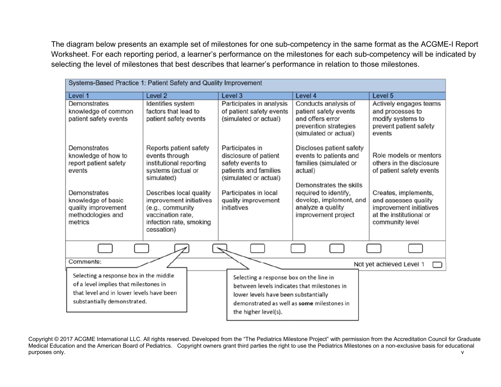The diagram below presents an example set of milestones for one sub-competency in the same format as the ACGME-I Report Worksheet. For each reporting period, a learner's performance on the milestones for each sub-competency will be indicated by selecting the level of milestones that best describes that learner's performance in relation to those milestones.

| Systems-Based Practice 1: Patient Safety and Quality Improvement                                                                                           |                                                                                                                                    |                                                                                                                                                                                                      |                                                                                                                                             |                                                                                                        |  |
|------------------------------------------------------------------------------------------------------------------------------------------------------------|------------------------------------------------------------------------------------------------------------------------------------|------------------------------------------------------------------------------------------------------------------------------------------------------------------------------------------------------|---------------------------------------------------------------------------------------------------------------------------------------------|--------------------------------------------------------------------------------------------------------|--|
| Level 1                                                                                                                                                    | Level 2                                                                                                                            | Level 3                                                                                                                                                                                              | Level 4                                                                                                                                     | Level 5                                                                                                |  |
| Demonstrates<br>knowledge of common<br>patient safety events                                                                                               | Identifies system<br>factors that lead to<br>patient safety events                                                                 | Participates in analysis<br>of patient safety events<br>(simulated or actual)                                                                                                                        | Conducts analysis of<br>patient safety events<br>and offers error<br>prevention strategies<br>(simulated or actual)                         | Actively engages teams<br>and processes to<br>modify systems to<br>prevent patient safety<br>events    |  |
| Demonstrates<br>knowledge of how to<br>report patient safety<br>events<br>Demonstrates                                                                     | Reports patient safety<br>events through<br>institutional reporting<br>systems (actual or<br>simulated)<br>Describes local quality | Participates in<br>disclosure of patient<br>safety events to<br>patients and families<br>(simulated or actual)<br>Participates in local                                                              | Discloses patient safety<br>events to patients and<br>families (simulated or<br>actual)<br>Demonstrates the skills<br>required to identify, | Role models or mentors<br>others in the disclosure<br>of patient safety events<br>Creates, implements, |  |
| knowledge of basic<br>quality improvement<br>methodologies and<br>metrics                                                                                  | improvement initiatives<br>(e.g., community<br>vaccination rate,<br>infection rate, smoking<br>cessation)                          | quality improvement<br>initiatives                                                                                                                                                                   | develop, implement, and<br>analyze a quality<br>improvement project                                                                         | and assesses quality<br>improvement initiatives<br>at the institutional or<br>community level          |  |
|                                                                                                                                                            |                                                                                                                                    |                                                                                                                                                                                                      |                                                                                                                                             |                                                                                                        |  |
| Comments:                                                                                                                                                  |                                                                                                                                    |                                                                                                                                                                                                      |                                                                                                                                             | Not yet achieved Level 1                                                                               |  |
| Selecting a response box in the middle<br>of a level implies that milestones in<br>that level and in lower levels have been<br>substantially demonstrated. |                                                                                                                                    | Selecting a response box on the line in<br>between levels indicates that milestones in<br>lower levels have been substantially<br>demonstrated as well as some milestones in<br>the higher level(s). |                                                                                                                                             |                                                                                                        |  |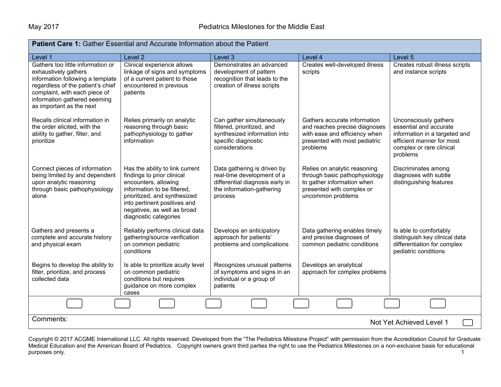| <b>Patient Care 1:</b> Gather Essential and Accurate Information about the Patient                                                                                                                                              |                                                                                                                                                                                                                                              |                                                                                                                                      |                                                                                                                                               |                                                                                                                                                       |  |
|---------------------------------------------------------------------------------------------------------------------------------------------------------------------------------------------------------------------------------|----------------------------------------------------------------------------------------------------------------------------------------------------------------------------------------------------------------------------------------------|--------------------------------------------------------------------------------------------------------------------------------------|-----------------------------------------------------------------------------------------------------------------------------------------------|-------------------------------------------------------------------------------------------------------------------------------------------------------|--|
| Level 1                                                                                                                                                                                                                         | Level 2                                                                                                                                                                                                                                      | Level 3                                                                                                                              | Level 4                                                                                                                                       | Level 5                                                                                                                                               |  |
| Gathers too little information or<br>exhaustively gathers<br>information following a template<br>regardless of the patient's chief<br>complaint, with each piece of<br>information gathered seeming<br>as important as the next | Clinical experience allows<br>linkage of signs and symptoms<br>of a current patient to those<br>encountered in previous<br>patients                                                                                                          | Demonstrates an advanced<br>development of pattern<br>recognition that leads to the<br>creation of illness scripts                   | Creates well-developed illness<br>scripts                                                                                                     | Creates robust illness scripts<br>and instance scripts                                                                                                |  |
| Recalls clinical information in<br>the order elicited, with the<br>ability to gather, filter, and<br>prioritize                                                                                                                 | Relies primarily on analytic<br>reasoning through basic<br>pathophysiology to gather<br>information                                                                                                                                          | Can gather simultaneously<br>filtered, prioritized, and<br>synthesized information into<br>specific diagnostic<br>considerations     | Gathers accurate information<br>and reaches precise diagnoses<br>with ease and efficiency when<br>presented with most pediatric<br>problems   | Unconsciously gathers<br>essential and accurate<br>information in a targeted and<br>efficient manner for most<br>complex or rare clinical<br>problems |  |
| Connect pieces of information<br>being limited by and dependent<br>upon analytic reasoning<br>through basic pathophysiology<br>alone                                                                                            | Has the ability to link current<br>findings to prior clinical<br>encounters, allowing<br>information to be filtered,<br>prioritized, and synthesized<br>into pertinent positives and<br>negatives, as well as broad<br>diagnostic categories | Data gathering is driven by<br>real-time development of a<br>differential diagnosis early in<br>the information-gathering<br>process | Relies on analytic reasoning<br>through basic pathophysiology<br>to gather information when<br>presented with complex or<br>uncommon problems | Discriminates among<br>diagnoses with subtle<br>distinguishing features                                                                               |  |
| Gathers and presents a<br>complete and accurate history<br>and physical exam                                                                                                                                                    | Reliably performs clinical data<br>gathering/source verification<br>on common pediatric<br>conditions                                                                                                                                        | Develops an anticipatory<br>approach for patients'<br>problems and complications                                                     | Data gathering enables timely<br>and precise diagnoses of<br>common pediatric conditions                                                      | Is able to comfortably<br>distinguish key clinical data<br>differentiation for complex<br>pediatric conditions                                        |  |
| Begins to develop the ability to<br>filter, prioritize, and process<br>collected data                                                                                                                                           | Is able to prioritize acuity level<br>on common pediatric<br>conditions but requires<br>guidance on more complex<br>cases                                                                                                                    | Recognizes unusual patterns<br>of symptoms and signs in an<br>individual or a group of<br>patients                                   | Develops an analytical<br>approach for complex problems                                                                                       |                                                                                                                                                       |  |
|                                                                                                                                                                                                                                 |                                                                                                                                                                                                                                              |                                                                                                                                      |                                                                                                                                               |                                                                                                                                                       |  |
| Comments:<br>Not Yet Achieved Level 1                                                                                                                                                                                           |                                                                                                                                                                                                                                              |                                                                                                                                      |                                                                                                                                               |                                                                                                                                                       |  |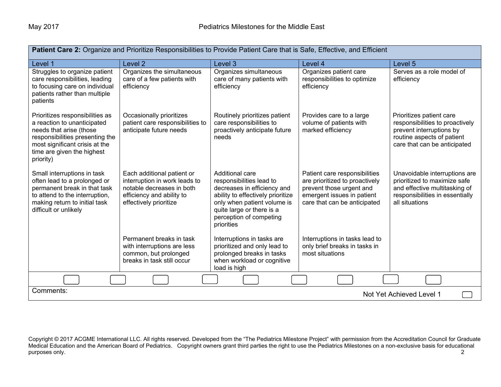| Patient Care 2: Organize and Prioritize Responsibilities to Provide Patient Care that is Safe, Effective, and Efficient                                                                                   |                                                                                                                                                 |                                                                                                                                                                                                                      |                                                                                                                                                           |                                                                                                                                                       |  |
|-----------------------------------------------------------------------------------------------------------------------------------------------------------------------------------------------------------|-------------------------------------------------------------------------------------------------------------------------------------------------|----------------------------------------------------------------------------------------------------------------------------------------------------------------------------------------------------------------------|-----------------------------------------------------------------------------------------------------------------------------------------------------------|-------------------------------------------------------------------------------------------------------------------------------------------------------|--|
| Level 1                                                                                                                                                                                                   | Level <sub>2</sub>                                                                                                                              | Level 3                                                                                                                                                                                                              | Level 4                                                                                                                                                   | Level 5                                                                                                                                               |  |
| Struggles to organize patient<br>care responsibilities, leading<br>to focusing care on individual<br>patients rather than multiple<br>patients                                                            | Organizes the simultaneous<br>care of a few patients with<br>efficiency                                                                         | Organizes simultaneous<br>care of many patients with<br>efficiency                                                                                                                                                   | Organizes patient care<br>responsibilities to optimize<br>efficiency                                                                                      | Serves as a role model of<br>efficiency                                                                                                               |  |
| Prioritizes responsibilities as<br>a reaction to unanticipated<br>needs that arise (those<br>responsibilities presenting the<br>most significant crisis at the<br>time are given the highest<br>priority) | Occasionally prioritizes<br>patient care responsibilities to<br>anticipate future needs                                                         | Routinely prioritizes patient<br>care responsibilities to<br>proactively anticipate future<br>needs                                                                                                                  | Provides care to a large<br>volume of patients with<br>marked efficiency                                                                                  | Prioritizes patient care<br>responsibilities to proactively<br>prevent interruptions by<br>routine aspects of patient<br>care that can be anticipated |  |
| Small interruptions in task<br>often lead to a prolonged or<br>permanent break in that task<br>to attend to the interruption,<br>making return to initial task<br>difficult or unlikely                   | Each additional patient or<br>interruption in work leads to<br>notable decreases in both<br>efficiency and ability to<br>effectively prioritize | Additional care<br>responsibilities lead to<br>decreases in efficiency and<br>ability to effectively prioritize<br>only when patient volume is<br>quite large or there is a<br>perception of competing<br>priorities | Patient care responsibilities<br>are prioritized to proactively<br>prevent those urgent and<br>emergent issues in patient<br>care that can be anticipated | Unavoidable interruptions are<br>prioritized to maximize safe<br>and effective multitasking of<br>responsibilities in essentially<br>all situations   |  |
|                                                                                                                                                                                                           | Permanent breaks in task<br>with interruptions are less<br>common, but prolonged<br>breaks in task still occur                                  | Interruptions in tasks are<br>prioritized and only lead to<br>prolonged breaks in tasks<br>when workload or cognitive<br>load is high                                                                                | Interruptions in tasks lead to<br>only brief breaks in tasks in<br>most situations                                                                        |                                                                                                                                                       |  |
|                                                                                                                                                                                                           |                                                                                                                                                 |                                                                                                                                                                                                                      |                                                                                                                                                           |                                                                                                                                                       |  |
| Comments:                                                                                                                                                                                                 |                                                                                                                                                 |                                                                                                                                                                                                                      |                                                                                                                                                           | Not Yet Achieved Level 1                                                                                                                              |  |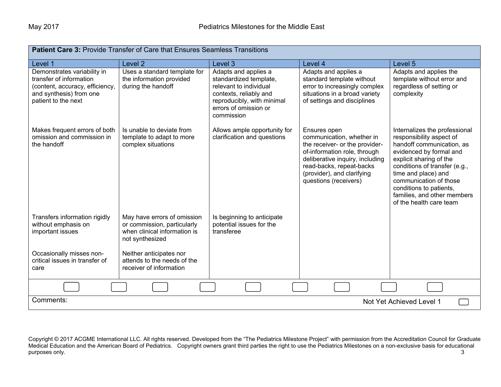| <b>Patient Care 3: Provide Transfer of Care that Ensures Seamless Transitions</b>                                                           |                                                                                                                                                                         |                                                                                                                                                                         |                                                                                                                                                                                                                                   |                                                                                                                                                                                                                                                                                                                     |
|---------------------------------------------------------------------------------------------------------------------------------------------|-------------------------------------------------------------------------------------------------------------------------------------------------------------------------|-------------------------------------------------------------------------------------------------------------------------------------------------------------------------|-----------------------------------------------------------------------------------------------------------------------------------------------------------------------------------------------------------------------------------|---------------------------------------------------------------------------------------------------------------------------------------------------------------------------------------------------------------------------------------------------------------------------------------------------------------------|
| Level 1                                                                                                                                     | Level <sub>2</sub>                                                                                                                                                      | Level 3                                                                                                                                                                 | Level 4                                                                                                                                                                                                                           | Level 5                                                                                                                                                                                                                                                                                                             |
| Demonstrates variability in<br>transfer of information<br>(content, accuracy, efficiency,<br>and synthesis) from one<br>patient to the next | Uses a standard template for<br>the information provided<br>during the handoff                                                                                          | Adapts and applies a<br>standardized template,<br>relevant to individual<br>contexts, reliably and<br>reproducibly, with minimal<br>errors of omission or<br>commission | Adapts and applies a<br>standard template without<br>error to increasingly complex<br>situations in a broad variety<br>of settings and disciplines                                                                                | Adapts and applies the<br>template without error and<br>regardless of setting or<br>complexity                                                                                                                                                                                                                      |
| Makes frequent errors of both<br>omission and commission in<br>the handoff                                                                  | Is unable to deviate from<br>template to adapt to more<br>complex situations                                                                                            | Allows ample opportunity for<br>clarification and questions                                                                                                             | Ensures open<br>communication, whether in<br>the receiver- or the provider-<br>of-information role, through<br>deliberative inquiry, including<br>read-backs, repeat-backs<br>(provider), and clarifying<br>questions (receivers) | Internalizes the professional<br>responsibility aspect of<br>handoff communication, as<br>evidenced by formal and<br>explicit sharing of the<br>conditions of transfer (e.g.,<br>time and place) and<br>communication of those<br>conditions to patients,<br>families, and other members<br>of the health care team |
| Transfers information rigidly<br>without emphasis on<br>important issues<br>Occasionally misses non-<br>critical issues in transfer of      | May have errors of omission<br>or commission, particularly<br>when clinical information is<br>not synthesized<br>Neither anticipates nor<br>attends to the needs of the | Is beginning to anticipate<br>potential issues for the<br>transferee                                                                                                    |                                                                                                                                                                                                                                   |                                                                                                                                                                                                                                                                                                                     |
| care                                                                                                                                        | receiver of information                                                                                                                                                 |                                                                                                                                                                         |                                                                                                                                                                                                                                   |                                                                                                                                                                                                                                                                                                                     |
|                                                                                                                                             |                                                                                                                                                                         |                                                                                                                                                                         |                                                                                                                                                                                                                                   |                                                                                                                                                                                                                                                                                                                     |
| Comments:                                                                                                                                   |                                                                                                                                                                         |                                                                                                                                                                         |                                                                                                                                                                                                                                   | Not Yet Achieved Level 1                                                                                                                                                                                                                                                                                            |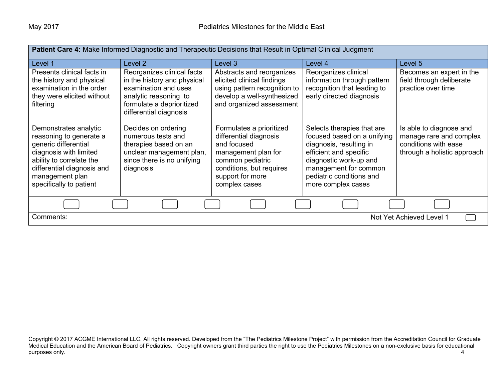| <b>Patient Care 4:</b> Make Informed Diagnostic and Therapeutic Decisions that Result in Optimal Clinical Judgment                                                                                         |                                                                                                                                                                   |                                                                                                                                                                               |                                                                                                                                                                                                                     |                                                                                                           |
|------------------------------------------------------------------------------------------------------------------------------------------------------------------------------------------------------------|-------------------------------------------------------------------------------------------------------------------------------------------------------------------|-------------------------------------------------------------------------------------------------------------------------------------------------------------------------------|---------------------------------------------------------------------------------------------------------------------------------------------------------------------------------------------------------------------|-----------------------------------------------------------------------------------------------------------|
| Level 1                                                                                                                                                                                                    | Level 2                                                                                                                                                           | Level 3                                                                                                                                                                       | Level 4                                                                                                                                                                                                             | Level 5                                                                                                   |
| Presents clinical facts in<br>the history and physical<br>examination in the order<br>they were elicited without<br>filtering                                                                              | Reorganizes clinical facts<br>in the history and physical<br>examination and uses<br>analytic reasoning to<br>formulate a deprioritized<br>differential diagnosis | Abstracts and reorganizes<br>elicited clinical findings<br>using pattern recognition to<br>develop a well-synthesized<br>and organized assessment                             | Reorganizes clinical<br>information through pattern<br>recognition that leading to<br>early directed diagnosis                                                                                                      | Becomes an expert in the<br>field through deliberate<br>practice over time                                |
| Demonstrates analytic<br>reasoning to generate a<br>generic differential<br>diagnosis with limited<br>ability to correlate the<br>differential diagnosis and<br>management plan<br>specifically to patient | Decides on ordering<br>numerous tests and<br>therapies based on an<br>unclear management plan,<br>since there is no unifying<br>diagnosis                         | Formulates a prioritized<br>differential diagnosis<br>and focused<br>management plan for<br>common pediatric<br>conditions, but requires<br>support for more<br>complex cases | Selects therapies that are<br>focused based on a unifying<br>diagnosis, resulting in<br>efficient and specific<br>diagnostic work-up and<br>management for common<br>pediatric conditions and<br>more complex cases | Is able to diagnose and<br>manage rare and complex<br>conditions with ease<br>through a holistic approach |
|                                                                                                                                                                                                            |                                                                                                                                                                   |                                                                                                                                                                               |                                                                                                                                                                                                                     |                                                                                                           |
| Not Yet Achieved Level 1<br>Comments:                                                                                                                                                                      |                                                                                                                                                                   |                                                                                                                                                                               |                                                                                                                                                                                                                     |                                                                                                           |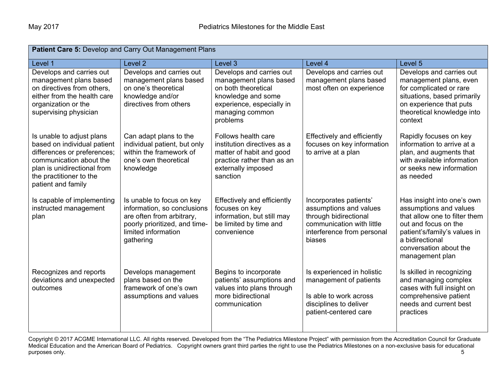| Patient Care 5: Develop and Carry Out Management Plans                                                                                                                                             |                                                                                                                                                            |                                                                                                                                                             |                                                                                                                                                |                                                                                                                                                                                                               |  |
|----------------------------------------------------------------------------------------------------------------------------------------------------------------------------------------------------|------------------------------------------------------------------------------------------------------------------------------------------------------------|-------------------------------------------------------------------------------------------------------------------------------------------------------------|------------------------------------------------------------------------------------------------------------------------------------------------|---------------------------------------------------------------------------------------------------------------------------------------------------------------------------------------------------------------|--|
| Level 1                                                                                                                                                                                            | Level <sub>2</sub>                                                                                                                                         | Level 3                                                                                                                                                     | Level 4                                                                                                                                        | Level 5                                                                                                                                                                                                       |  |
| Develops and carries out<br>management plans based<br>on directives from others,<br>either from the health care<br>organization or the<br>supervising physician                                    | Develops and carries out<br>management plans based<br>on one's theoretical<br>knowledge and/or<br>directives from others                                   | Develops and carries out<br>management plans based<br>on both theoretical<br>knowledge and some<br>experience, especially in<br>managing common<br>problems | Develops and carries out<br>management plans based<br>most often on experience                                                                 | Develops and carries out<br>management plans, even<br>for complicated or rare<br>situations, based primarily<br>on experience that puts<br>theoretical knowledge into<br>context                              |  |
| Is unable to adjust plans<br>based on individual patient<br>differences or preferences;<br>communication about the<br>plan is unidirectional from<br>the practitioner to the<br>patient and family | Can adapt plans to the<br>individual patient, but only<br>within the framework of<br>one's own theoretical<br>knowledge                                    | Follows health care<br>institution directives as a<br>matter of habit and good<br>practice rather than as an<br>externally imposed<br>sanction              | Effectively and efficiently<br>focuses on key information<br>to arrive at a plan                                                               | Rapidly focuses on key<br>information to arrive at a<br>plan, and augments that<br>with available information<br>or seeks new information<br>as needed                                                        |  |
| Is capable of implementing<br>instructed management<br>plan                                                                                                                                        | Is unable to focus on key<br>information, so conclusions<br>are often from arbitrary,<br>poorly prioritized, and time-<br>limited information<br>gathering | Effectively and efficiently<br>focuses on key<br>information, but still may<br>be limited by time and<br>convenience                                        | Incorporates patients'<br>assumptions and values<br>through bidirectional<br>communication with little<br>interference from personal<br>biases | Has insight into one's own<br>assumptions and values<br>that allow one to filter them<br>out and focus on the<br>patient's/family's values in<br>a bidirectional<br>conversation about the<br>management plan |  |
| Recognizes and reports<br>deviations and unexpected<br>outcomes                                                                                                                                    | Develops management<br>plans based on the<br>framework of one's own<br>assumptions and values                                                              | Begins to incorporate<br>patients' assumptions and<br>values into plans through<br>more bidirectional<br>communication                                      | Is experienced in holistic<br>management of patients<br>Is able to work across<br>disciplines to deliver<br>patient-centered care              | Is skilled in recognizing<br>and managing complex<br>cases with full insight on<br>comprehensive patient<br>needs and current best<br>practices                                                               |  |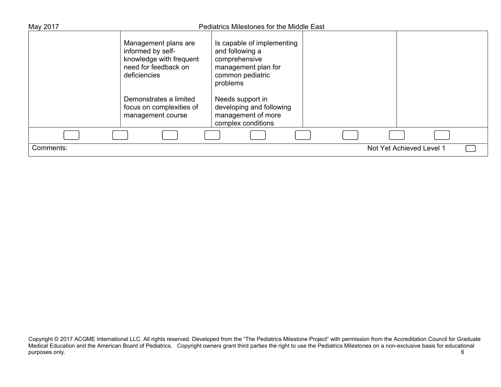| May 2017  | <b>Pediatrics Milestones for the Middle East</b>                                                             |                                                                                                                       |  |                          |  |  |
|-----------|--------------------------------------------------------------------------------------------------------------|-----------------------------------------------------------------------------------------------------------------------|--|--------------------------|--|--|
|           | Management plans are<br>informed by self-<br>knowledge with frequent<br>need for feedback on<br>deficiencies | Is capable of implementing<br>and following a<br>comprehensive<br>management plan for<br>common pediatric<br>problems |  |                          |  |  |
|           | Demonstrates a limited<br>focus on complexities of<br>management course                                      | Needs support in<br>developing and following<br>management of more<br>complex conditions                              |  |                          |  |  |
|           |                                                                                                              |                                                                                                                       |  |                          |  |  |
| Comments: |                                                                                                              |                                                                                                                       |  | Not Yet Achieved Level 1 |  |  |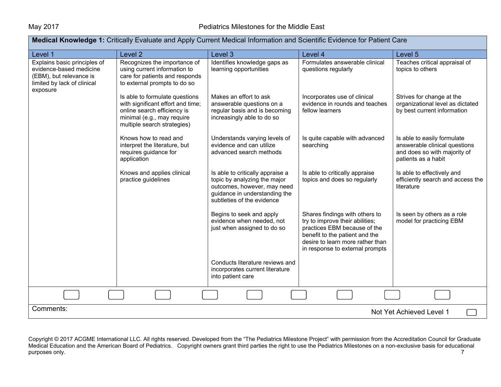| <b>Medical Knowledge 1:</b> Critically Evaluate and Apply Current Medical Information and Scientific Evidence for Patient Care |                                                                                                                                                                 |                                                                                                                                                                |                                                                                                                                                                                                            |                                                                                                                     |  |
|--------------------------------------------------------------------------------------------------------------------------------|-----------------------------------------------------------------------------------------------------------------------------------------------------------------|----------------------------------------------------------------------------------------------------------------------------------------------------------------|------------------------------------------------------------------------------------------------------------------------------------------------------------------------------------------------------------|---------------------------------------------------------------------------------------------------------------------|--|
| Level 1                                                                                                                        | Level 2                                                                                                                                                         | Level 3                                                                                                                                                        | Level 4                                                                                                                                                                                                    | Level 5                                                                                                             |  |
| Explains basic principles of<br>evidence-based medicine<br>(EBM), but relevance is<br>limited by lack of clinical<br>exposure  | Recognizes the importance of<br>using current information to<br>care for patients and responds<br>to external prompts to do so                                  | Identifies knowledge gaps as<br>learning opportunities                                                                                                         | Formulates answerable clinical<br>questions regularly                                                                                                                                                      | Teaches critical appraisal of<br>topics to others                                                                   |  |
|                                                                                                                                | Is able to formulate questions<br>with significant effort and time;<br>online search efficiency is<br>minimal (e.g., may require<br>multiple search strategies) | Makes an effort to ask<br>answerable questions on a<br>regular basis and is becoming<br>increasingly able to do so                                             | Incorporates use of clinical<br>evidence in rounds and teaches<br>fellow learners                                                                                                                          | Strives for change at the<br>organizational level as dictated<br>by best current information                        |  |
|                                                                                                                                | Knows how to read and<br>interpret the literature, but<br>requires guidance for<br>application                                                                  | Understands varying levels of<br>evidence and can utilize<br>advanced search methods                                                                           | Is quite capable with advanced<br>searching                                                                                                                                                                | Is able to easily formulate<br>answerable clinical questions<br>and does so with majority of<br>patients as a habit |  |
|                                                                                                                                | Knows and applies clinical<br>practice guidelines                                                                                                               | Is able to critically appraise a<br>topic by analyzing the major<br>outcomes, however, may need<br>guidance in understanding the<br>subtleties of the evidence | Is able to critically appraise<br>topics and does so regularly                                                                                                                                             | Is able to effectively and<br>efficiently search and access the<br>literature                                       |  |
|                                                                                                                                |                                                                                                                                                                 | Begins to seek and apply<br>evidence when needed, not<br>just when assigned to do so                                                                           | Shares findings with others to<br>try to improve their abilities;<br>practices EBM because of the<br>benefit to the patient and the<br>desire to learn more rather than<br>in response to external prompts | Is seen by others as a role<br>model for practicing EBM                                                             |  |
|                                                                                                                                |                                                                                                                                                                 | Conducts literature reviews and<br>incorporates current literature<br>into patient care                                                                        |                                                                                                                                                                                                            |                                                                                                                     |  |
|                                                                                                                                |                                                                                                                                                                 |                                                                                                                                                                |                                                                                                                                                                                                            |                                                                                                                     |  |
| Comments:<br>Not Yet Achieved Level 1                                                                                          |                                                                                                                                                                 |                                                                                                                                                                |                                                                                                                                                                                                            |                                                                                                                     |  |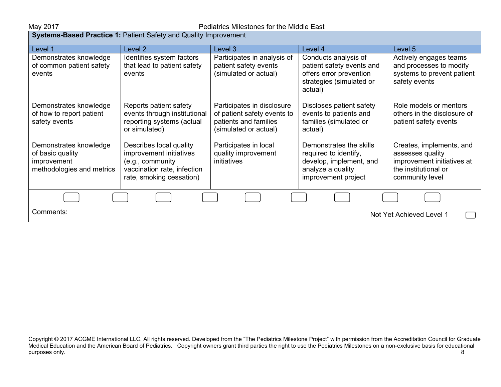| <b>Systems-Based Practice 1: Patient Safety and Quality Improvement</b>                |                                                                                                                                   |                                                                                                             |                                                                                                                         |                                                                                                                       |  |
|----------------------------------------------------------------------------------------|-----------------------------------------------------------------------------------------------------------------------------------|-------------------------------------------------------------------------------------------------------------|-------------------------------------------------------------------------------------------------------------------------|-----------------------------------------------------------------------------------------------------------------------|--|
| Level 1                                                                                | Level 2                                                                                                                           | Level 3                                                                                                     | Level 4                                                                                                                 | Level 5                                                                                                               |  |
| Demonstrates knowledge<br>of common patient safety<br>events                           | Identifies system factors<br>that lead to patient safety<br>events                                                                | Participates in analysis of<br>patient safety events<br>(simulated or actual)                               | Conducts analysis of<br>patient safety events and<br>offers error prevention<br>strategies (simulated or<br>actual)     | Actively engages teams<br>and processes to modify<br>systems to prevent patient<br>safety events                      |  |
| Demonstrates knowledge<br>of how to report patient<br>safety events                    | Reports patient safety<br>events through institutional<br>reporting systems (actual<br>or simulated)                              | Participates in disclosure<br>of patient safety events to<br>patients and families<br>(simulated or actual) | Discloses patient safety<br>events to patients and<br>families (simulated or<br>actual)                                 | Role models or mentors<br>others in the disclosure of<br>patient safety events                                        |  |
| Demonstrates knowledge<br>of basic quality<br>improvement<br>methodologies and metrics | Describes local quality<br>improvement initiatives<br>(e.g., community<br>vaccination rate, infection<br>rate, smoking cessation) | Participates in local<br>quality improvement<br>initiatives                                                 | Demonstrates the skills<br>required to identify,<br>develop, implement, and<br>analyze a quality<br>improvement project | Creates, implements, and<br>assesses quality<br>improvement initiatives at<br>the institutional or<br>community level |  |
|                                                                                        |                                                                                                                                   |                                                                                                             |                                                                                                                         |                                                                                                                       |  |
| Comments:<br>Not Yet Achieved Level 1                                                  |                                                                                                                                   |                                                                                                             |                                                                                                                         |                                                                                                                       |  |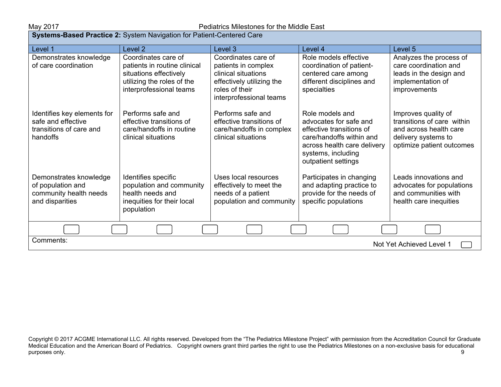## May 2017 Pediatrics Milestones for the Middle East

| Systems-Based Practice 2: System Navigation for Patient-Centered Care                    |                                                                                                                                        |                                                                                                                                             |                                                                                                                                                                               |                                                                                                                                 |
|------------------------------------------------------------------------------------------|----------------------------------------------------------------------------------------------------------------------------------------|---------------------------------------------------------------------------------------------------------------------------------------------|-------------------------------------------------------------------------------------------------------------------------------------------------------------------------------|---------------------------------------------------------------------------------------------------------------------------------|
| Level 1                                                                                  | Level 2                                                                                                                                | Level 3                                                                                                                                     | Level 4                                                                                                                                                                       | Level 5                                                                                                                         |
| Demonstrates knowledge<br>of care coordination                                           | Coordinates care of<br>patients in routine clinical<br>situations effectively<br>utilizing the roles of the<br>interprofessional teams | Coordinates care of<br>patients in complex<br>clinical situations<br>effectively utilizing the<br>roles of their<br>interprofessional teams | Role models effective<br>coordination of patient-<br>centered care among<br>different disciplines and<br>specialties                                                          | Analyzes the process of<br>care coordination and<br>leads in the design and<br>implementation of<br>improvements                |
| Identifies key elements for<br>safe and effective<br>transitions of care and<br>handoffs | Performs safe and<br>effective transitions of<br>care/handoffs in routine<br>clinical situations                                       | Performs safe and<br>effective transitions of<br>care/handoffs in complex<br>clinical situations                                            | Role models and<br>advocates for safe and<br>effective transitions of<br>care/handoffs within and<br>across health care delivery<br>systems, including<br>outpatient settings | Improves quality of<br>transitions of care within<br>and across health care<br>delivery systems to<br>optimize patient outcomes |
| Demonstrates knowledge<br>of population and<br>community health needs<br>and disparities | Identifies specific<br>population and community<br>health needs and<br>inequities for their local<br>population                        | Uses local resources<br>effectively to meet the<br>needs of a patient<br>population and community                                           | Participates in changing<br>and adapting practice to<br>provide for the needs of<br>specific populations                                                                      | Leads innovations and<br>advocates for populations<br>and communities with<br>health care inequities                            |
|                                                                                          |                                                                                                                                        |                                                                                                                                             |                                                                                                                                                                               |                                                                                                                                 |
| Comments:<br>Not Yet Achieved Level 1                                                    |                                                                                                                                        |                                                                                                                                             |                                                                                                                                                                               |                                                                                                                                 |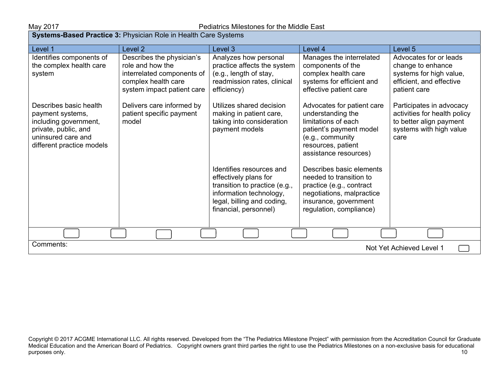| <b>Systems-Based Practice 3: Physician Role in Health Care Systems</b>                                                                         |                                                                                                                                  |                                                                                                                                                                      |                                                                                                                                                                      |                                                                                                                        |  |
|------------------------------------------------------------------------------------------------------------------------------------------------|----------------------------------------------------------------------------------------------------------------------------------|----------------------------------------------------------------------------------------------------------------------------------------------------------------------|----------------------------------------------------------------------------------------------------------------------------------------------------------------------|------------------------------------------------------------------------------------------------------------------------|--|
| Level 1                                                                                                                                        | Level <sub>2</sub>                                                                                                               | Level 3                                                                                                                                                              | Level 4                                                                                                                                                              | Level 5                                                                                                                |  |
| Identifies components of<br>the complex health care<br>system                                                                                  | Describes the physician's<br>role and how the<br>interrelated components of<br>complex health care<br>system impact patient care | Analyzes how personal<br>practice affects the system<br>(e.g., length of stay,<br>readmission rates, clinical<br>efficiency)                                         | Manages the interrelated<br>components of the<br>complex health care<br>systems for efficient and<br>effective patient care                                          | Advocates for or leads<br>change to enhance<br>systems for high value,<br>efficient, and effective<br>patient care     |  |
| Describes basic health<br>payment systems,<br>including government,<br>private, public, and<br>uninsured care and<br>different practice models | Delivers care informed by<br>patient specific payment<br>model                                                                   | Utilizes shared decision<br>making in patient care,<br>taking into consideration<br>payment models                                                                   | Advocates for patient care<br>understanding the<br>limitations of each<br>patient's payment model<br>(e.g., community<br>resources, patient<br>assistance resources) | Participates in advocacy<br>activities for health policy<br>to better align payment<br>systems with high value<br>care |  |
|                                                                                                                                                |                                                                                                                                  | Identifies resources and<br>effectively plans for<br>transition to practice (e.g.,<br>information technology,<br>legal, billing and coding,<br>financial, personnel) | Describes basic elements<br>needed to transition to<br>practice (e.g., contract<br>negotiations, malpractice<br>insurance, government<br>regulation, compliance)     |                                                                                                                        |  |
|                                                                                                                                                |                                                                                                                                  |                                                                                                                                                                      |                                                                                                                                                                      |                                                                                                                        |  |
| Comments:<br>Not Yet Achieved Level 1                                                                                                          |                                                                                                                                  |                                                                                                                                                                      |                                                                                                                                                                      |                                                                                                                        |  |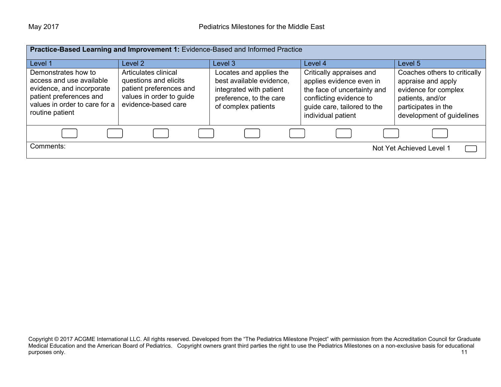| Practice-Based Learning and Improvement 1: Evidence-Based and Informed Practice                                                                             |                                                                                                                             |                                                                                                                                  |                                                                                                                                                                     |                                                                                                                                                    |
|-------------------------------------------------------------------------------------------------------------------------------------------------------------|-----------------------------------------------------------------------------------------------------------------------------|----------------------------------------------------------------------------------------------------------------------------------|---------------------------------------------------------------------------------------------------------------------------------------------------------------------|----------------------------------------------------------------------------------------------------------------------------------------------------|
| Level 1                                                                                                                                                     | Level 2                                                                                                                     | Level 3                                                                                                                          | Level 4                                                                                                                                                             | Level 5                                                                                                                                            |
| Demonstrates how to<br>access and use available<br>evidence, and incorporate<br>patient preferences and<br>values in order to care for a<br>routine patient | Articulates clinical<br>questions and elicits<br>patient preferences and<br>values in order to guide<br>evidence-based care | Locates and applies the<br>best available evidence,<br>integrated with patient<br>preference, to the care<br>of complex patients | Critically appraises and<br>applies evidence even in<br>the face of uncertainty and<br>conflicting evidence to<br>guide care, tailored to the<br>individual patient | Coaches others to critically<br>appraise and apply<br>evidence for complex<br>patients, and/or<br>participates in the<br>development of guidelines |
|                                                                                                                                                             |                                                                                                                             |                                                                                                                                  |                                                                                                                                                                     |                                                                                                                                                    |
| Comments:                                                                                                                                                   |                                                                                                                             |                                                                                                                                  |                                                                                                                                                                     | Not Yet Achieved Level 1                                                                                                                           |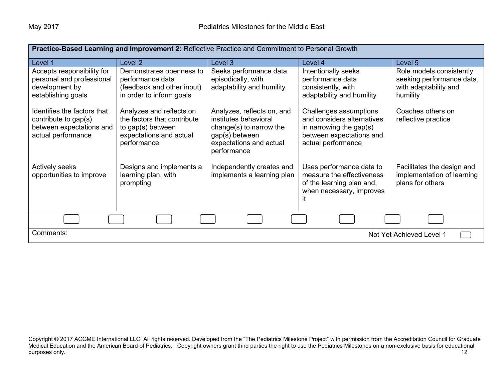| Practice-Based Learning and Improvement 2: Reflective Practice and Commitment to Personal Growth      |                                                                                                                        |                                                                                                                                            |                                                                                                                                      |                                                                                            |
|-------------------------------------------------------------------------------------------------------|------------------------------------------------------------------------------------------------------------------------|--------------------------------------------------------------------------------------------------------------------------------------------|--------------------------------------------------------------------------------------------------------------------------------------|--------------------------------------------------------------------------------------------|
| Level 1                                                                                               | Level 2                                                                                                                | Level 3                                                                                                                                    | Level 4                                                                                                                              | Level 5                                                                                    |
| Accepts responsibility for<br>personal and professional<br>development by<br>establishing goals       | Demonstrates openness to<br>performance data<br>(feedback and other input)<br>in order to inform goals                 | Seeks performance data<br>episodically, with<br>adaptability and humility                                                                  | Intentionally seeks<br>performance data<br>consistently, with<br>adaptability and humility                                           | Role models consistently<br>seeking performance data,<br>with adaptability and<br>humility |
| Identifies the factors that<br>contribute to gap(s)<br>between expectations and<br>actual performance | Analyzes and reflects on<br>the factors that contribute<br>to gap(s) between<br>expectations and actual<br>performance | Analyzes, reflects on, and<br>institutes behavioral<br>change(s) to narrow the<br>gap(s) between<br>expectations and actual<br>performance | Challenges assumptions<br>and considers alternatives<br>in narrowing the gap $(s)$<br>between expectations and<br>actual performance | Coaches others on<br>reflective practice                                                   |
| Actively seeks<br>opportunities to improve                                                            | Designs and implements a<br>learning plan, with<br>prompting                                                           | Independently creates and<br>implements a learning plan                                                                                    | Uses performance data to<br>measure the effectiveness<br>of the learning plan and,<br>when necessary, improves                       | Facilitates the design and<br>implementation of learning<br>plans for others               |
|                                                                                                       |                                                                                                                        |                                                                                                                                            |                                                                                                                                      |                                                                                            |
| Comments:<br>Not Yet Achieved Level 1                                                                 |                                                                                                                        |                                                                                                                                            |                                                                                                                                      |                                                                                            |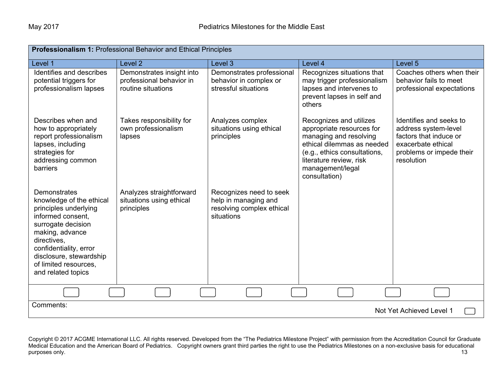| <b>Professionalism 1: Professional Behavior and Ethical Principles</b>                                                                                                                                                                                    |                                                                             |                                                                                            |                                                                                                                                                                                                              |                                                                                                                                           |
|-----------------------------------------------------------------------------------------------------------------------------------------------------------------------------------------------------------------------------------------------------------|-----------------------------------------------------------------------------|--------------------------------------------------------------------------------------------|--------------------------------------------------------------------------------------------------------------------------------------------------------------------------------------------------------------|-------------------------------------------------------------------------------------------------------------------------------------------|
| Level 1                                                                                                                                                                                                                                                   | Level <sub>2</sub>                                                          | Level 3                                                                                    | Level 4                                                                                                                                                                                                      | Level 5                                                                                                                                   |
| Identifies and describes<br>potential triggers for<br>professionalism lapses                                                                                                                                                                              | Demonstrates insight into<br>professional behavior in<br>routine situations | Demonstrates professional<br>behavior in complex or<br>stressful situations                | Recognizes situations that<br>may trigger professionalism<br>lapses and intervenes to<br>prevent lapses in self and<br>others                                                                                | Coaches others when their<br>behavior fails to meet<br>professional expectations                                                          |
| Describes when and<br>how to appropriately<br>report professionalism<br>lapses, including<br>strategies for<br>addressing common<br><b>barriers</b>                                                                                                       | Takes responsibility for<br>own professionalism<br>lapses                   | Analyzes complex<br>situations using ethical<br>principles                                 | Recognizes and utilizes<br>appropriate resources for<br>managing and resolving<br>ethical dilemmas as needed<br>(e.g., ethics consultations,<br>literature review, risk<br>management/legal<br>consultation) | Identifies and seeks to<br>address system-level<br>factors that induce or<br>exacerbate ethical<br>problems or impede their<br>resolution |
| <b>Demonstrates</b><br>knowledge of the ethical<br>principles underlying<br>informed consent.<br>surrogate decision<br>making, advance<br>directives,<br>confidentiality, error<br>disclosure, stewardship<br>of limited resources.<br>and related topics | Analyzes straightforward<br>situations using ethical<br>principles          | Recognizes need to seek<br>help in managing and<br>resolving complex ethical<br>situations |                                                                                                                                                                                                              |                                                                                                                                           |
|                                                                                                                                                                                                                                                           |                                                                             |                                                                                            |                                                                                                                                                                                                              |                                                                                                                                           |
| Comments:<br>Not Yet Achieved Level 1                                                                                                                                                                                                                     |                                                                             |                                                                                            |                                                                                                                                                                                                              |                                                                                                                                           |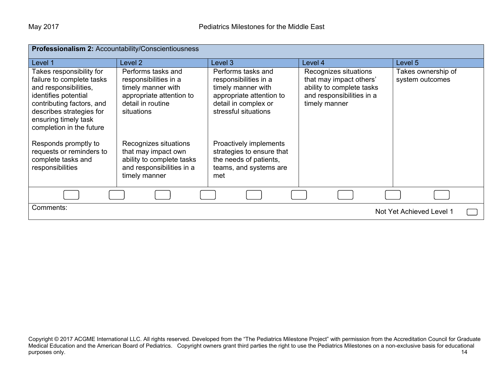| Professionalism 2: Accountability/Conscientiousness                                                                                                                                                                 |                                                                                                                                  |                                                                                                                                               |                                                                                                                             |                                       |
|---------------------------------------------------------------------------------------------------------------------------------------------------------------------------------------------------------------------|----------------------------------------------------------------------------------------------------------------------------------|-----------------------------------------------------------------------------------------------------------------------------------------------|-----------------------------------------------------------------------------------------------------------------------------|---------------------------------------|
| Level 1                                                                                                                                                                                                             | Level 2                                                                                                                          | Level 3                                                                                                                                       | Level 4                                                                                                                     | Level 5                               |
| Takes responsibility for<br>failure to complete tasks<br>and responsibilities,<br>identifies potential<br>contributing factors, and<br>describes strategies for<br>ensuring timely task<br>completion in the future | Performs tasks and<br>responsibilities in a<br>timely manner with<br>appropriate attention to<br>detail in routine<br>situations | Performs tasks and<br>responsibilities in a<br>timely manner with<br>appropriate attention to<br>detail in complex or<br>stressful situations | Recognizes situations<br>that may impact others'<br>ability to complete tasks<br>and responsibilities in a<br>timely manner | Takes ownership of<br>system outcomes |
| Responds promptly to<br>requests or reminders to<br>complete tasks and<br>responsibilities                                                                                                                          | Recognizes situations<br>that may impact own<br>ability to complete tasks<br>and responsibilities in a<br>timely manner          | Proactively implements<br>strategies to ensure that<br>the needs of patients,<br>teams, and systems are<br>met                                |                                                                                                                             |                                       |
|                                                                                                                                                                                                                     |                                                                                                                                  |                                                                                                                                               |                                                                                                                             |                                       |
| Comments:<br>Not Yet Achieved Level 1                                                                                                                                                                               |                                                                                                                                  |                                                                                                                                               |                                                                                                                             |                                       |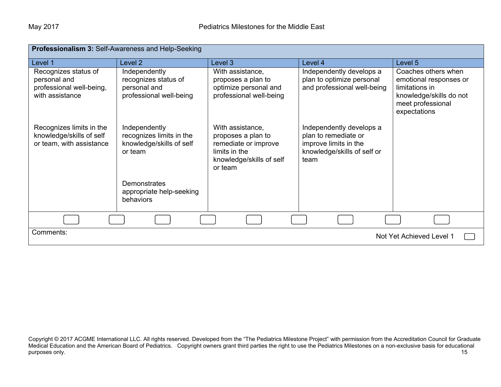| Professionalism 3: Self-Awareness and Help-Seeking                                  |                                                                                  |                                                                                                                        |                                                                                                                  |                                                                                                                                 |
|-------------------------------------------------------------------------------------|----------------------------------------------------------------------------------|------------------------------------------------------------------------------------------------------------------------|------------------------------------------------------------------------------------------------------------------|---------------------------------------------------------------------------------------------------------------------------------|
| Level 1                                                                             | Level 2                                                                          | Level 3                                                                                                                | Level 4                                                                                                          | Level 5                                                                                                                         |
| Recognizes status of<br>personal and<br>professional well-being,<br>with assistance | Independently<br>recognizes status of<br>personal and<br>professional well-being | With assistance,<br>proposes a plan to<br>optimize personal and<br>professional well-being                             | Independently develops a<br>plan to optimize personal<br>and professional well-being                             | Coaches others when<br>emotional responses or<br>limitations in<br>knowledge/skills do not<br>meet professional<br>expectations |
| Recognizes limits in the<br>knowledge/skills of self<br>or team, with assistance    | Independently<br>recognizes limits in the<br>knowledge/skills of self<br>or team | With assistance,<br>proposes a plan to<br>remediate or improve<br>limits in the<br>knowledge/skills of self<br>or team | Independently develops a<br>plan to remediate or<br>improve limits in the<br>knowledge/skills of self or<br>team |                                                                                                                                 |
|                                                                                     | Demonstrates<br>appropriate help-seeking<br>behaviors                            |                                                                                                                        |                                                                                                                  |                                                                                                                                 |
|                                                                                     |                                                                                  |                                                                                                                        |                                                                                                                  |                                                                                                                                 |
| Comments:<br>Not Yet Achieved Level 1                                               |                                                                                  |                                                                                                                        |                                                                                                                  |                                                                                                                                 |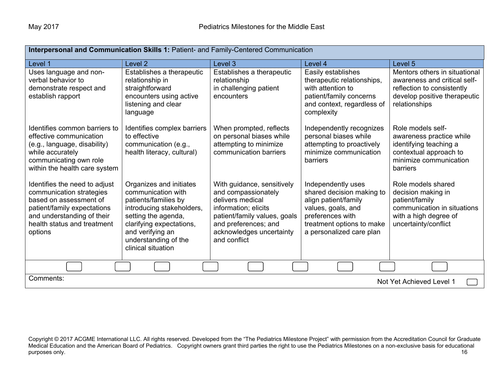| Interpersonal and Communication Skills 1: Patient- and Family-Centered Communication                                                                                                       |                                                                                                                                                                                                                         |                                                                                                                                                                                                   |                                                                                                                                                                            |                                                                                                                                              |
|--------------------------------------------------------------------------------------------------------------------------------------------------------------------------------------------|-------------------------------------------------------------------------------------------------------------------------------------------------------------------------------------------------------------------------|---------------------------------------------------------------------------------------------------------------------------------------------------------------------------------------------------|----------------------------------------------------------------------------------------------------------------------------------------------------------------------------|----------------------------------------------------------------------------------------------------------------------------------------------|
| Level 1                                                                                                                                                                                    | Level <sub>2</sub>                                                                                                                                                                                                      | Level 3                                                                                                                                                                                           | Level 4                                                                                                                                                                    | Level 5                                                                                                                                      |
| Uses language and non-<br>verbal behavior to<br>demonstrate respect and<br>establish rapport                                                                                               | Establishes a therapeutic<br>relationship in<br>straightforward<br>encounters using active<br>listening and clear<br>language                                                                                           | Establishes a therapeutic<br>relationship<br>in challenging patient<br>encounters                                                                                                                 | Easily establishes<br>therapeutic relationships,<br>with attention to<br>patient/family concerns<br>and context, regardless of<br>complexity                               | Mentors others in situational<br>awareness and critical self-<br>reflection to consistently<br>develop positive therapeutic<br>relationships |
| Identifies common barriers to<br>effective communication<br>(e.g., language, disability)<br>while accurately<br>communicating own role<br>within the health care system                    | Identifies complex barriers<br>to effective<br>communication (e.g.,<br>health literacy, cultural)                                                                                                                       | When prompted, reflects<br>on personal biases while<br>attempting to minimize<br>communication barriers                                                                                           | Independently recognizes<br>personal biases while<br>attempting to proactively<br>minimize communication<br>barriers                                                       | Role models self-<br>awareness practice while<br>identifying teaching a<br>contextual approach to<br>minimize communication<br>barriers      |
| Identifies the need to adjust<br>communication strategies<br>based on assessment of<br>patient/family expectations<br>and understanding of their<br>health status and treatment<br>options | Organizes and initiates<br>communication with<br>patients/families by<br>introducing stakeholders,<br>setting the agenda,<br>clarifying expectations,<br>and verifying an<br>understanding of the<br>clinical situation | With guidance, sensitively<br>and compassionately<br>delivers medical<br>information; elicits<br>patient/family values, goals<br>and preferences; and<br>acknowledges uncertainty<br>and conflict | Independently uses<br>shared decision making to<br>align patient/family<br>values, goals, and<br>preferences with<br>treatment options to make<br>a personalized care plan | Role models shared<br>decision making in<br>patient/family<br>communication in situations<br>with a high degree of<br>uncertainty/conflict   |
|                                                                                                                                                                                            |                                                                                                                                                                                                                         |                                                                                                                                                                                                   |                                                                                                                                                                            |                                                                                                                                              |
| Comments:<br>Not Yet Achieved Level 1                                                                                                                                                      |                                                                                                                                                                                                                         |                                                                                                                                                                                                   |                                                                                                                                                                            |                                                                                                                                              |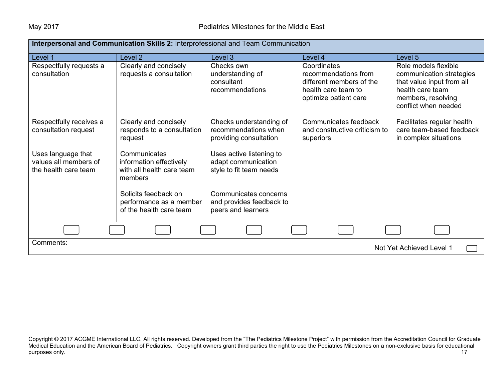| Interpersonal and Communication Skills 2: Interprofessional and Team Communication |                                                                                 |                                                                            |                                                                                                                 |                                                                                                                                                 |
|------------------------------------------------------------------------------------|---------------------------------------------------------------------------------|----------------------------------------------------------------------------|-----------------------------------------------------------------------------------------------------------------|-------------------------------------------------------------------------------------------------------------------------------------------------|
| Level 1                                                                            | Level 2                                                                         | Level 3                                                                    | Level 4                                                                                                         | Level 5                                                                                                                                         |
| Respectfully requests a<br>consultation                                            | Clearly and concisely<br>requests a consultation                                | Checks own<br>understanding of<br>consultant<br>recommendations            | Coordinates<br>recommendations from<br>different members of the<br>health care team to<br>optimize patient care | Role models flexible<br>communication strategies<br>that value input from all<br>health care team<br>members, resolving<br>conflict when needed |
| Respectfully receives a<br>consultation request                                    | Clearly and concisely<br>responds to a consultation<br>request                  | Checks understanding of<br>recommendations when<br>providing consultation  | Communicates feedback<br>and constructive criticism to<br>superiors                                             | Facilitates regular health<br>care team-based feedback<br>in complex situations                                                                 |
| Uses language that<br>values all members of<br>the health care team                | Communicates<br>information effectively<br>with all health care team<br>members | Uses active listening to<br>adapt communication<br>style to fit team needs |                                                                                                                 |                                                                                                                                                 |
|                                                                                    | Solicits feedback on<br>performance as a member<br>of the health care team      | Communicates concerns<br>and provides feedback to<br>peers and learners    |                                                                                                                 |                                                                                                                                                 |
|                                                                                    |                                                                                 |                                                                            |                                                                                                                 |                                                                                                                                                 |
| Comments:<br>Not Yet Achieved Level 1                                              |                                                                                 |                                                                            |                                                                                                                 |                                                                                                                                                 |